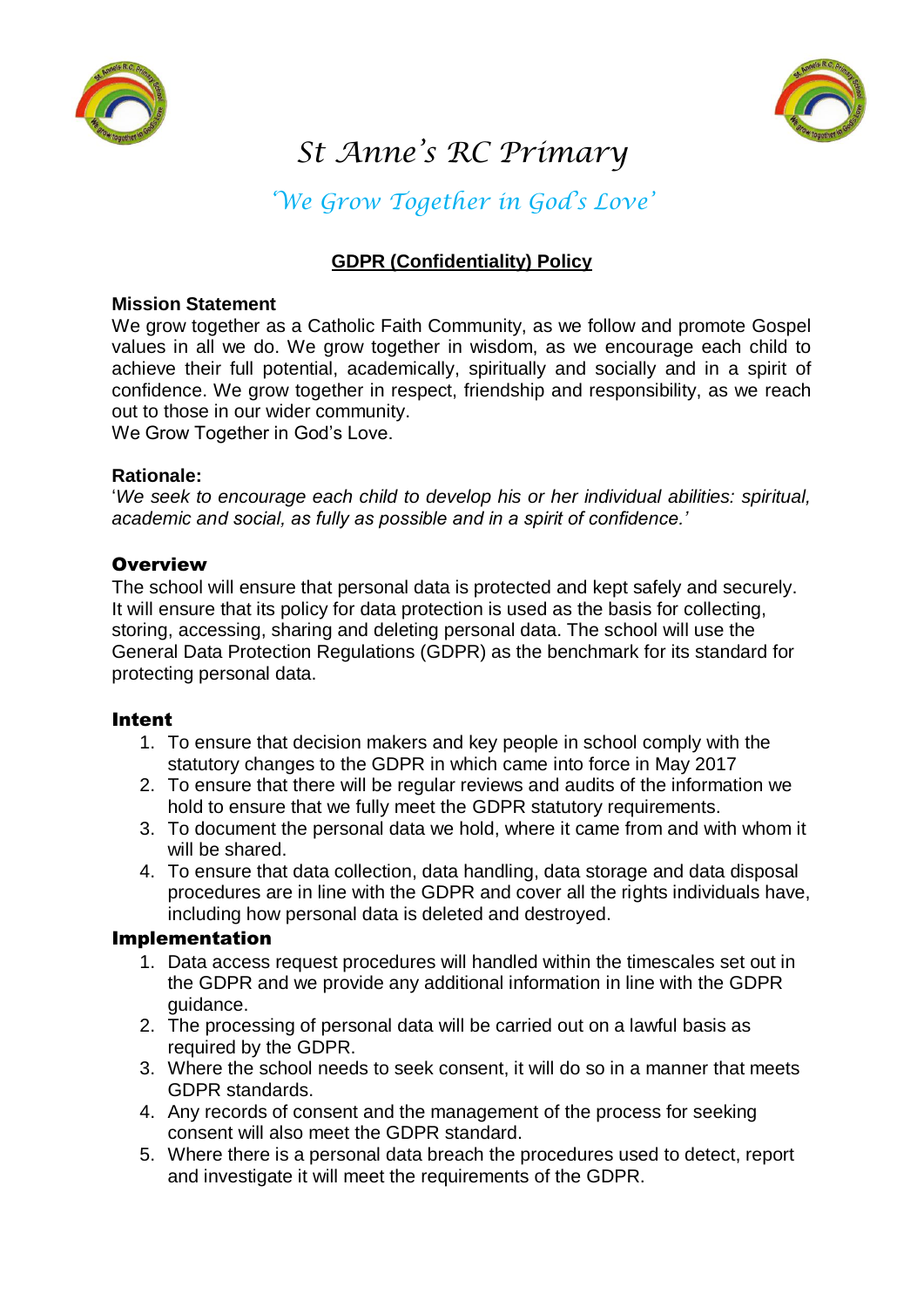



# *St Anne's RC Primary*

*'We Grow Together in God's Love'*

## **GDPR (Confidentiality) Policy**

#### **Mission Statement**

We grow together as a Catholic Faith Community, as we follow and promote Gospel values in all we do. We grow together in wisdom, as we encourage each child to achieve their full potential, academically, spiritually and socially and in a spirit of confidence. We grow together in respect, friendship and responsibility, as we reach out to those in our wider community.

We Grow Together in God's Love.

#### **Rationale:**

'*We seek to encourage each child to develop his or her individual abilities: spiritual, academic and social, as fully as possible and in a spirit of confidence.'* 

#### **Overview**

The school will ensure that personal data is protected and kept safely and securely. It will ensure that its policy for data protection is used as the basis for collecting, storing, accessing, sharing and deleting personal data. The school will use the General Data Protection Regulations (GDPR) as the benchmark for its standard for protecting personal data.

#### Intent

- 1. To ensure that decision makers and key people in school comply with the statutory changes to the GDPR in which came into force in May 2017
- 2. To ensure that there will be regular reviews and audits of the information we hold to ensure that we fully meet the GDPR statutory requirements.
- 3. To document the personal data we hold, where it came from and with whom it will be shared.
- 4. To ensure that data collection, data handling, data storage and data disposal procedures are in line with the GDPR and cover all the rights individuals have, including how personal data is deleted and destroyed.

#### Implementation

- 1. Data access request procedures will handled within the timescales set out in the GDPR and we provide any additional information in line with the GDPR guidance.
- 2. The processing of personal data will be carried out on a lawful basis as required by the GDPR.
- 3. Where the school needs to seek consent, it will do so in a manner that meets GDPR standards.
- 4. Any records of consent and the management of the process for seeking consent will also meet the GDPR standard.
- 5. Where there is a personal data breach the procedures used to detect, report and investigate it will meet the requirements of the GDPR.